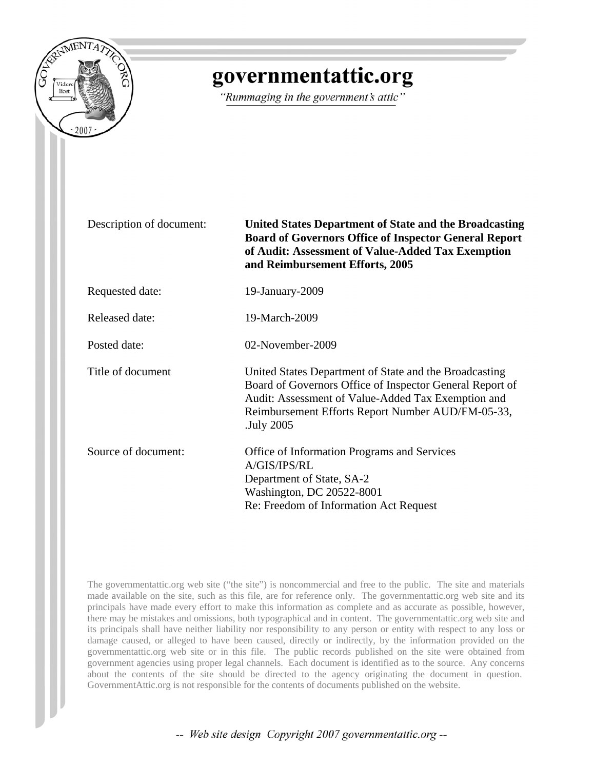

# governmentattic.org

"Rummaging in the government's attic"

19-January-2009

Description of document: **United States Department of State and the Broadcasting Board of Governors Office of Inspector General Report of Audit: Assessment of Value-Added Tax Exemption and Reimbursement Efforts, 2005**

| Requested date: |  |
|-----------------|--|
|-----------------|--|

Released date: 19-March-2009

Posted date: 02-November-2009

Title of document United States Department of State and the Broadcasting

Board of Governors Office of Inspector General Report of Audit: Assessment of Value-Added Tax Exemption and Reimbursement Efforts Report Number AUD/FM-05-33, .July 2005

Source of document: Office of Information Programs and Services A/GIS/IPS/RL Department of State, SA-2 Washington, DC 20522-8001 Re: Freedom of Information Act Request

The governmentattic.org web site ("the site") is noncommercial and free to the public. The site and materials made available on the site, such as this file, are for reference only. The governmentattic.org web site and its principals have made every effort to make this information as complete and as accurate as possible, however, there may be mistakes and omissions, both typographical and in content. The governmentattic.org web site and its principals shall have neither liability nor responsibility to any person or entity with respect to any loss or damage caused, or alleged to have been caused, directly or indirectly, by the information provided on the governmentattic.org web site or in this file. The public records published on the site were obtained from government agencies using proper legal channels. Each document is identified as to the source. Any concerns about the contents of the site should be directed to the agency originating the document in question. GovernmentAttic.org is not responsible for the contents of documents published on the website.

-- Web site design Copyright 2007 governmentattic.org --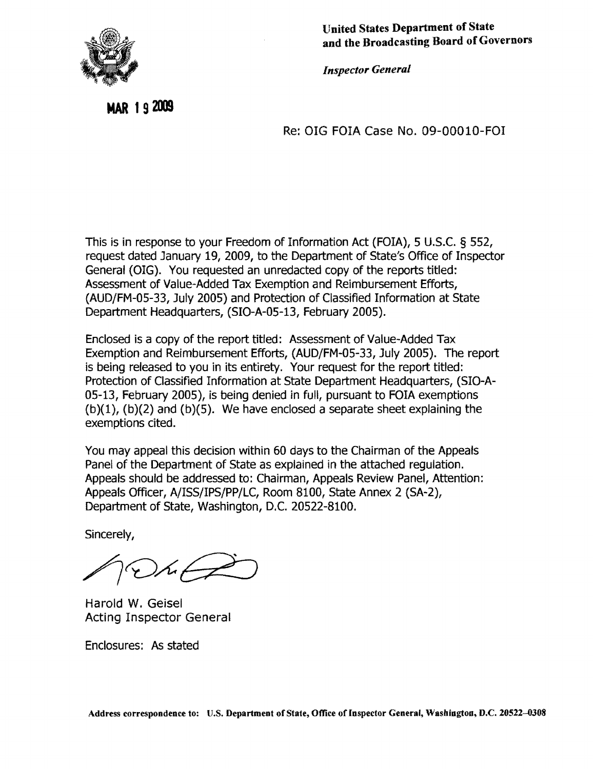

United States Department of State and the Broadcasting Board of Governors

*Inspector General* 

**MAR 192009** 

Re: OIG FOIA Case No. 09-00010-FOI

This is in response to your Freedom of Information Act (FOIA), 5 U.S.C.  $\S$  552, request dated January 19, 2009, to the Department of State's Office of Inspector General (OIG). You requested an unredacted copy of the reports titled: Assessment of Value-Added Tax Exemption and Reimbursement Efforts, (AUD/FM-05-33, July 2005) and Protection of Classified Information at State Department Headquarters, (SIO-A-05-13, February 2005).

Enclosed is a copy of the report titled: Assessment of Value-Added Tax Exemption and Reimbursement Efforts, (AUD/FM-05-33, July 2005). The report is being released to you in its entirety. Your request for the report titled: Protection of Classified Information at State Department Headquarters, (SIO-A-05-13, February 2005), is being denied in full, pursuant to FOIA exemptions  $(b)(1)$ ,  $(b)(2)$  and  $(b)(5)$ . We have enclosed a separate sheet explaining the exemptions cited.

You may appeal this decision within 60 days to the Chairman of the Appeals Panel of the Department of State as explained in the attached regulation. Appeals should be addressed to: Chairman, Appeals Review Panel, Attention: Appeals Officer, A/ISS/IPS/PP/LC, Room 8100, State Annex 2 (SA-2), Department of State, Washington, D.C. 20522-8100.

Sincerely,

Harold W. Geisel Acting Inspector General

Enclosures: As stated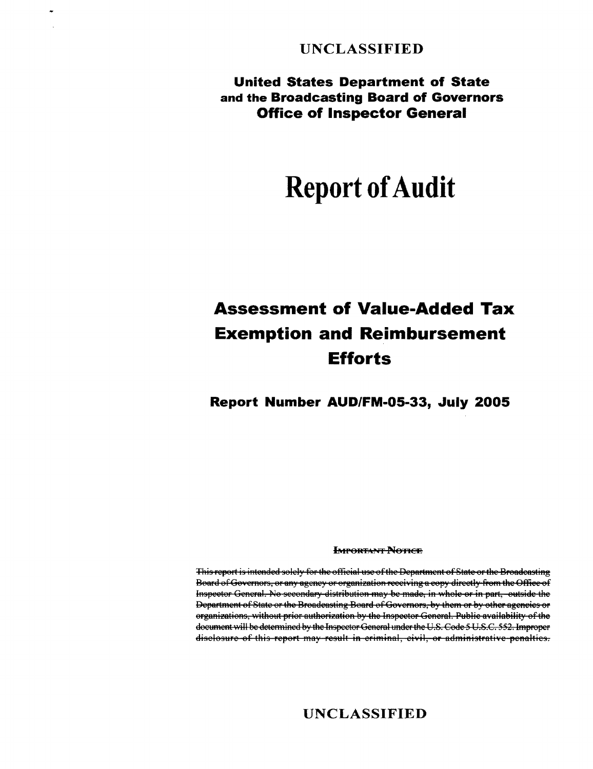**United States Department of State and the Broadcasting Board of Governors Office of Inspector General** 

# **Report of Audit**

# **Assessment of Value-Added Tax Exemption and Reimbursement Efforts**

**Report Number AUD/FM-05-33, July 2005** 

**IMPORTANT NOTICE** 

This report is intended solely for the official use of the Department of State or the Broadcasting Board of Governors, or any agency or organization receiving a copy directly from the Office of Inspector General. No secondary distribution may be made, in whole or in part, outside the Department of State or the Broadeasting Board of Governors, by them or by other agencies or erganizations, without prior authorization by the Inspector General. Public availability of the document will be determined by the Inspector General under the U.S. Code 5 U.S.C. 552. Improper diselosure of this report may result in eriminal, eivil, or administrative penalties.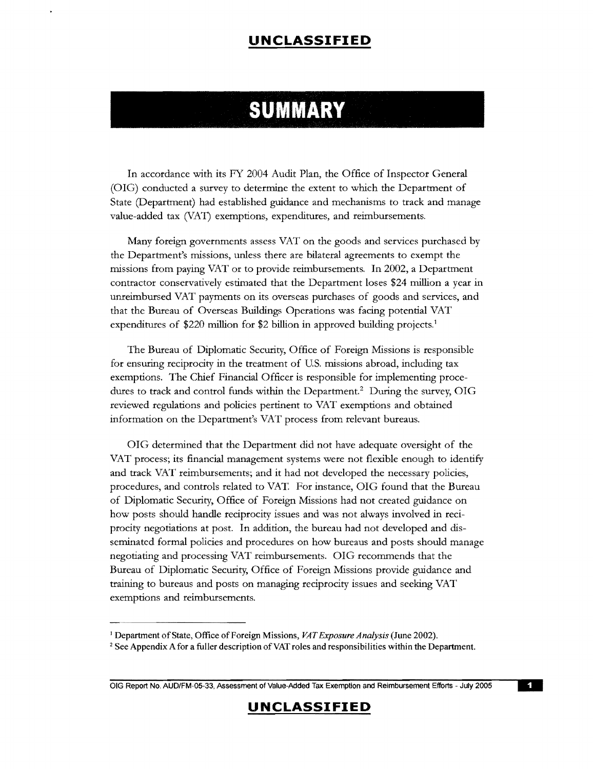# **SUMMARY**

In accordance with its FY 2004 Audit Plan, the Office of Inspector General (OIG) conducted a survey to determine the extent to which the Department of State (Department) had established guidance and mechanisms to track and manage value-added tax (VAT) exemptions, expenditures, and reimbursements.

Many foreign governments assess VAT on the goods and services purchased by the Department's missions, unless there are bilateral agreements to exempt the missions from paying VAT or to provide reimbursements. In 2002, a Department contractor conservatively estimated that the Department loses \$24 million a year in unreimbursed VAT payments on its overseas purchases of goods and services, and that the Bureau of Overseas Buildings Operations was facing potential VAT expenditures of \$220 million for \$2 billion in approved building projects.<sup>1</sup>

The Bureau of Diplomatic Security, Office of Foreign Missions is responsible for ensuring reciprocity in the treatment of U.S. missions abroad, including tax exemptions. The Chief Financial Officer is responsible for implementing procedures to track and control funds within the Department.<sup>2</sup> During the survey, OIG reviewed regulations and policies pertinent to VAT exemptions and obtained information on the Department's VAT process from relevant bureaus.

OIG determined that the Department did not have adequate oversight of the VAT process; its financial management systems were not flexible enough to identify and track VAT reimbursements; and it had not developed the necessary policies, procedures, and controls related to VAT. For instance, OIG found that the Bureau of Diplomatic Security, Office of Foreign Missions had not created guidance on how posts should handle reciprocity issues and was not always involved in reciprocity negotiations at post. In addition, the bureau had not developed and disseminated formal policies and procedures on how bureaus and posts should manage negotiating and processing VAT reimbursements. OIG recommends that the Bureau of Diplomatic Security, Office of Foreign Missions provide guidance and training to bureaus and posts on managing reciprocity issues and seeking VAT exemptions and reimbursements.

<sup>&</sup>lt;sup>1</sup> Department of State, Office of Foreign Missions, *VAT Exposure Analysis* (June 2002).

<sup>2</sup> See Appendix A for a fuller description of VAT roles and responsibilities within the Department.

DIG Report No. AUD/FM-05-33, Assessment of Value-Added Tax Exemption and Reimbursement Efforts - July 2005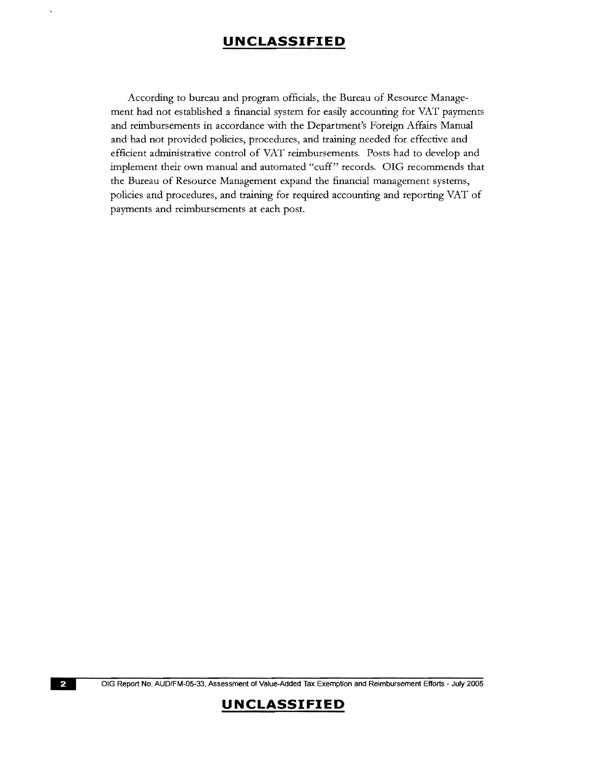According to bureau and program officials, the Bureau of Resource Management had not established a financial system for easily accounting for VAT payments and reimbursements in accordance with the Department's Foreign Affairs Manual and had not provided policies, procedures, and training needed for effective and efficient administrative control of VAT reimbursements. Posts had to develop and implement their own manual and automated "cuff" records. OIG recommends that the Bureau of Resource Management expand the financial management systems, policies and procedures, and training for required accounting and reporting VAT of payments and reimbursements at each post.

### **UNCLASSIFIED**

 $\ddot{\phantom{a}}$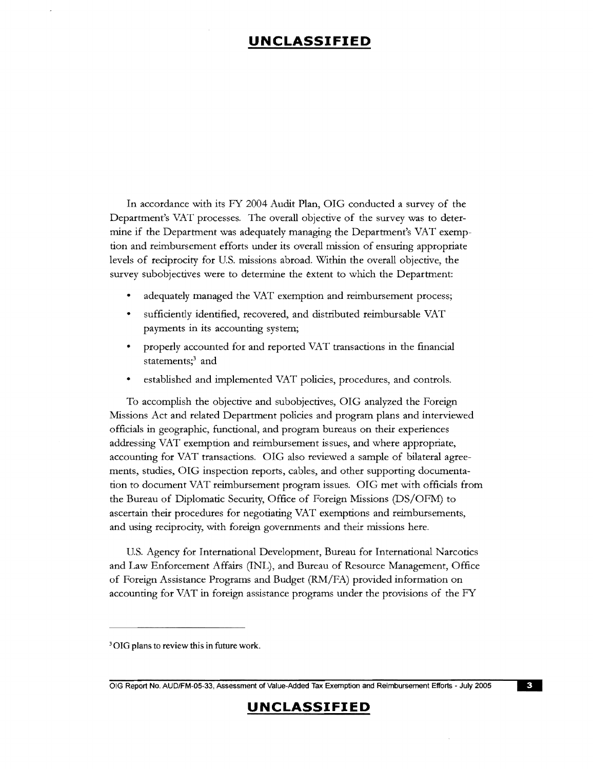In accordance with its FY 2004 Audit Plan, OIG conducted a survey of the Department's VAT processes. The overall objective of the survey was to determine if the Department was adequately managing the Department's VAT exemption and reimbursement efforts under its overall mission of ensuring appropriate levels of reciprocity for U.S. missions abroad. Within the overall objective, the survey subobjectives were to determine the extent to which the Department:

- adequately managed the VAT exemption and reimbursement process;
- sufficiently identified, recovered, and distributed reimbursable VAT payments in its accounting system;
- properly accounted for and reported VAT transactions in the financial statements;<sup>3</sup> and
- established and implemented VAT policies, procedures, and controls.

To accomplish the objective and subobjectives, OIG analyzed the Foreign :Missions and related Department policies and program plans and interviewed officials in geographic, functional, and program bureaus on their experiences addressing VAT exemption and reimbursement issues, and where appropriate, accounting for VAT transactions. OIG also reviewed a sample of bilateral agreements, studies, OIG inspection reports, cables, and other supporting documentation to document VAT reimbursement program issues. OIG met with officials from the Bureau of Diplomatic Security, Office of Foreign Missions (DS/OFM) to ascertain their procedures for negotiating VAT exemptions and reimbursements, and using reciprocity, with foreign governments and their missions here.

U.S. Agency for International Development, Bureau for International Narcotics and Law Enforcement Affairs (INL), and Bureau of Resource Management, Office of Foreign Assistance Programs and Budget (RM/FA) provided information on accounting for VAT in foreign assistance programs under the provisions of the FY

<sup>&</sup>lt;sup>3</sup>OIG plans to review this in future work.

OIG Report No. AUD/FM-05-33, Assessment of Value-Added Tax Exemption and Reimbursement Efforts - July 2005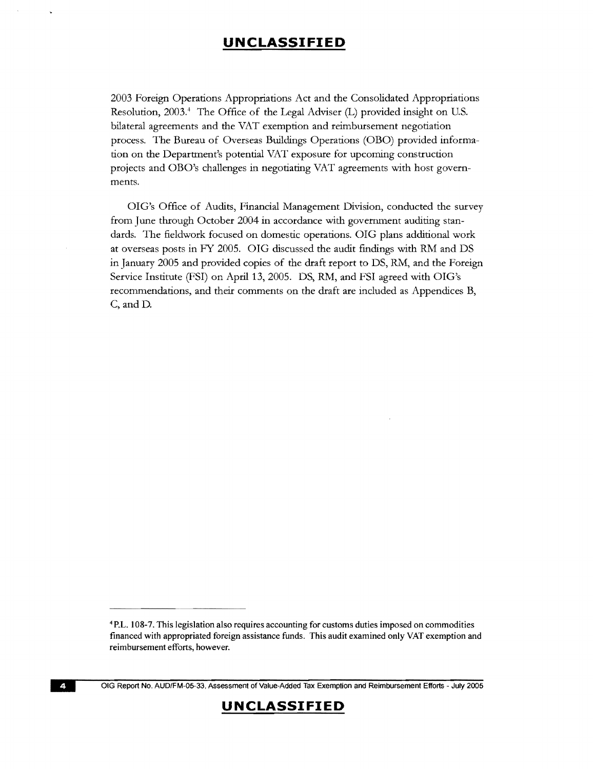2003 Foreign Operations Appropriations Act and the Consolidated Appropriations Resolution, 2003.<sup>4</sup> The Office of the Legal Adviser (L) provided insight on U.S. bilateral agreements and the VAT exemption and reimbursement negotiation process. The Bureau of Overseas Buildings Operations (OBO) provided information on the Department's potential VAT exposure for upcoming construction projects and OBO's challenges in negotiating VAT agreements with host governments.

OIG's Office of Audits, Financial Management Division, conducted the survey from June through October 2004 in accordance with government auditing standards. The fieldwork focused on domestic operations. OIG plans additional work at overseas posts in FY 2005. OIG discussed the audit findings with RM and DS in January 2005 and provided copies of the draft report to DS, RM, and the Foreign Service Institute (FSI) on April 13,2005. DS, RM, and FSI agreed with OIG's recommendations, and their comments on the draft are included as Appendices B, C, and D.

<sup>4</sup> P.L. 108-7. This legislation also requires accounting for customs duties imposed on commodities financed with appropriated foreign assistance funds. This audit examined only VAT exemption and reimbursement efforts, however .

OIG Report No. AUD/FM-05-33. Assessment of Value-Added Tax Exemption and Reimbursement Efforts - July *2005*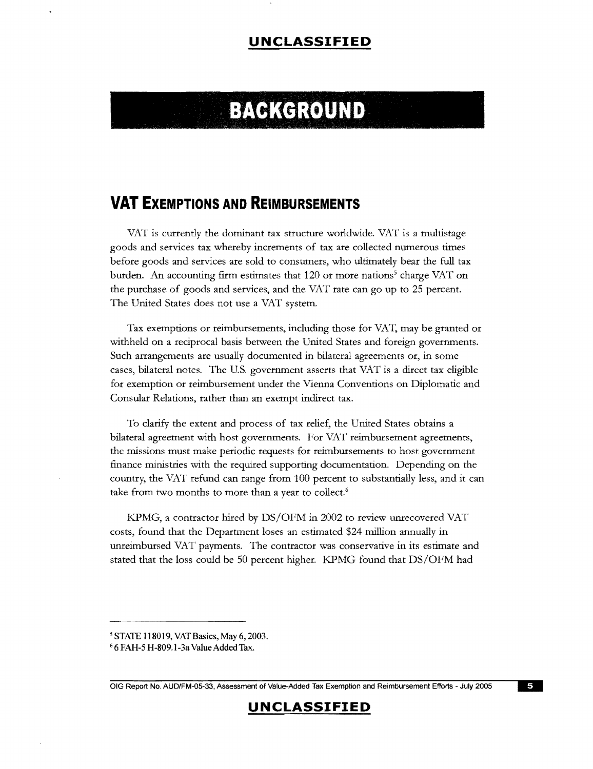# **BACKGROUND**

## **VAT EXEMPTIONS AND REIMBURSEMENTS**

VAT is currently the dominant tax structure worldwide. VAT is a multistage goods and services tax whereby increments of tax are collected numerous times before goods and services are sold to consumers, who ultimately bear the full tax burden. An accounting firm estimates that 120 or more nations' charge VAT on the purchase of goods and services, and the VAT rate can go up to 25 percent. The United States does not use a VAT system.

Tax exemptions or reimbursements, including those for VAT, may be granted or withheld on a reciprocal basis between the United States and foreign governments. Such arrangements are usually documented in bilateral agreements or, in some cases, bilateral notes. The U.S. government asserts that VAT is a direct tax eligible for exemption or reimbursement under the Vienna Conventions on Diplomatic and Consular Relations, rather than an exempt indirect tax.

To clarify the extent and process of tax relief, the United States obtains a bilateral agreement with host governments. For VAT reimbursement agreements, the missions must make periodic requests for reimbursements to host government finance ministries with the required supporting documentation. Depending on the country, the VAT refund can range from 100 percent to substantially less, and it can take from two months to more than a year to collect.<sup>6</sup>

KPMG, a contractor hired by DS/OFM in 2002 to review unrecovered VAT costs, found that the Department loses an estimated \$24 million annually in unreimbursed VAT payments. The contractor was conservative in its estimate and stated that the loss could be 50 percent higher. KPMG found that DS/OFM had

<sup>5</sup> STATE 118019, VAT Basics, May 6, 2003.

<sup>66</sup>FAH-5 H-809.l-3a Value Added Tax.

OIG Report No. AUD/FM-05-33, Assessment of Value-Added Tax Exemption and Reimbursement Efforts - July 2005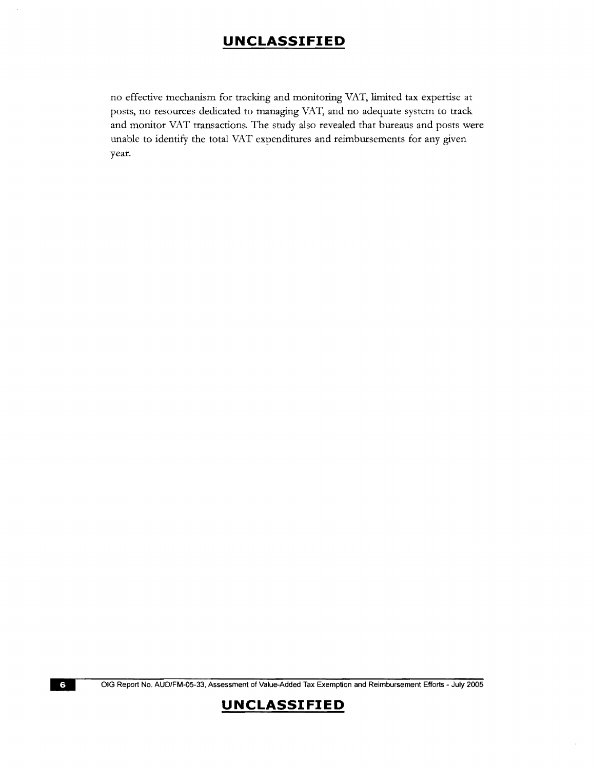no effective mechanism for tracking and monitoring VAT, limited tax expertise at posts, no resources dedicated to managing VAT, and no adequate system to track and monitor VAT transactions. The study also revealed that bureaus and posts were unable to identify the total VAT expenditures and reimbursements for any given year.

OIG Report No. AUD/FM-05-33. Assessment of Value-Added Tax Exemption and Reimbursement Efforts - July 2005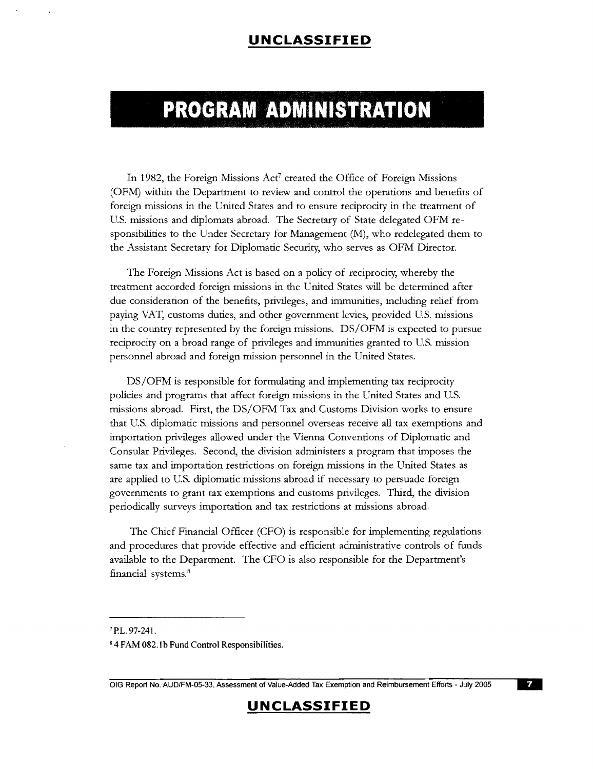# **PROGRAM ADMINISTRATION**

In 1982, the Foreign Missions  $Act^7$  created the Office of Foreign Missions (OFM) within the Department to rev'iew and control the operations and benefits of foreign missions in the United States and to ensure reciprocity in the treatment of US. missions and diplomats abroad. The Secretary of State delegated OFM responsibilities to the Under Secretary for Management (M), who redelegated them to the Assistant Secretary for Diplomatic Security, who serves as OFM Director.

The Foreign Missions Act is based on a policy of reciprocity, whereby the treatment accorded foreign missions in the United States will be determined after due consideration of the benefits, privileges, and immunities, including relief from paying VAT, customs duties, and other government levies, provided U.S. missions in the country represented by the foreign missions. DS/OFM is expected to pursue reciprocity on a broad range of privileges and immunities granted to US. mission personnel abroad and foreign mission personnel in the United States.

DS/OFM is responsible for formulating and implementing tax reciprocity policies and programs that affect foreign missions in the United States and U.S. missions abroad. First, the DSjOFM Tax and Customs Division works to ensure that U.S. diplomatic missions and personnel overseas receive all tax exemptions and importation privileges allowed under the Vienna Conventions of Diplomatic and Consular Privileges. Second, the division administers a program that imposes the same tax and importation restrictions on foreign missions in the United States as are applied to U.S. diplomatic missions abroad if necessary to persuade foreign governments to grant tax exemptions and customs privileges. Third, the division periodically surveys importation and tax restrictions at missions abroad.

The Chief Financial Officer (CFO) is responsible for implementing regulations and procedures that provide effective and efficient administrative controls of funds available to the Department. The CFO is also responsible for the Department's financial systems.<sup>8</sup>

<sup>7</sup>P.L.97-241.

<sup>84</sup> FAM 082.1 b Fund Control Resporisibilities.

OIG Report No. AUD/FM-05-33. Assessment of Value-Added Tax Exemption and Reimbursement Efforts - July 2005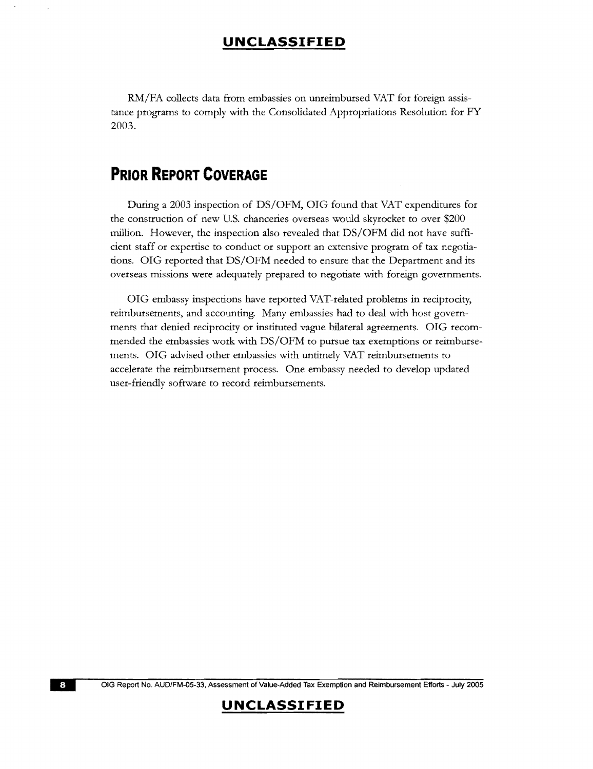RM/FA collects data from embassies on unreimbursed VAT for foreign assistance programs to comply with the Consolidated Appropriations Resolution for FY 2003.

## **PRIOR REPORT COVERAGE**

During a 2003 inspection of DS/OFM, OIG found that VAT expenditures for the construction of new US. chanceries overseas would skyrocket to over \$200 million. However, the inspection also revealed that DS/OFM **did** not have sufficient staff or expertise to conduct or support an extensive program of tax negotiations. OIG reported that DS/OFM needed to ensure that the Department and its overseas missions were adequately prepared to negotiate with foreign governments.

OIG embassy inspections have reported VAT-related problems in reciprocity, reimbursements, and accounting. Many embassies had to deal with host governments that denied reciprocity or instituted vague bilateral agreements. OIG recommended the embassies work with DS/OFM to pursue tax exemptions or reimbursements. OIG advised other embassies with untimely VAT reimbursements to accelerate the reimbursement process. One embassy needed to develop updated user-friendly software to record reimbursements .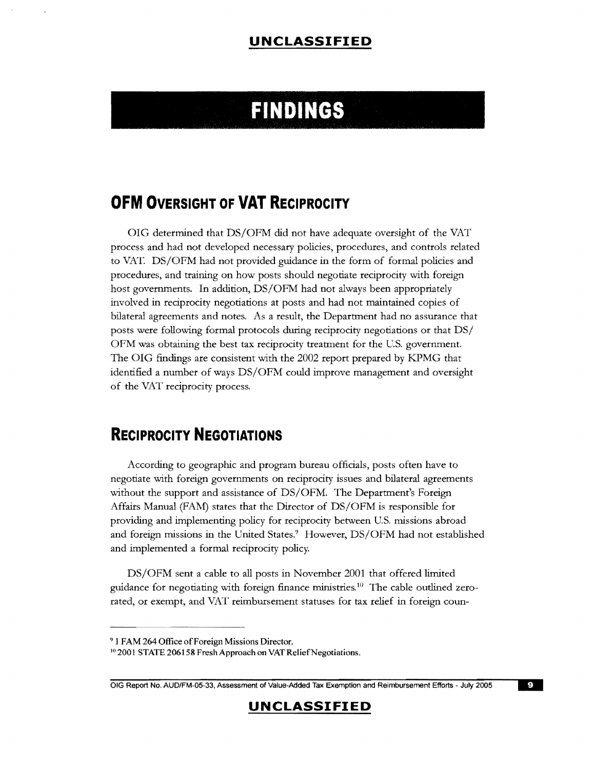# **FINDINGS**

## **OFM OVERSIGHT OF VAT RECIPROCITY**

OIG determined that DS/OFM did not have adequate oversight of the VAT process and had not developed necessary policies, procedures, and controls related to VAT. DS/OFM had not provided guidance in the form of formal policies and procedures, and training on how posts should negotiate reciprocity with foreign host governments. In addition, DS/OFM had not always been appropriately involved in reciprocity negotiations at posts and had not maintained copies of bilateral agreements and notes. As a result, the Department had no assurance that posts were following formal protocols during reciprocity negotiations or that DS/ OFM was obtaining the best tax reciprocity treatment for the C.S. government. The OIG findings are consistent with the 2002 report prepared by KPMG that identified a number of ways DS/OFM could improve management and oversight of the VAT reciprocity process.

## **RECIPROCITY NEGOTIATIONS**

According to geographic and program bureau officials, posts often have to negotiate with foreign governments on reciprocity issues and bilateral agreements without the support and assistance of DS/OFM. The Department's Foreign Affairs Manual (FAM) states that the Director of DS/OFM is responsible for providing and implementing policy for reciprocity between U.S. missions abroad and foreign missions in the United States.<sup>9</sup> However, DS/OFM had not established and implemented a formal reciprocity policy.

DS/OFM sent a cable to all posts in November 2001 that offered limited guidance for negotiating with foreign finance ministries.<sup>10</sup> The cable outlined zerorated, or exempt, and VAT reimbursement statuses for tax relief in foreign coun-

<sup>91</sup> FAM 264 Office of Foreign Missions Director.

<sup>&</sup>lt;sup>10</sup> 2001 STATE 206158 Fresh Approach on VAT Relief Negotiations.

DIG Report No. AUD/FM-05-33, Assessment of Value-Added Tax Exemption and Reimbursement Efforts - July 2005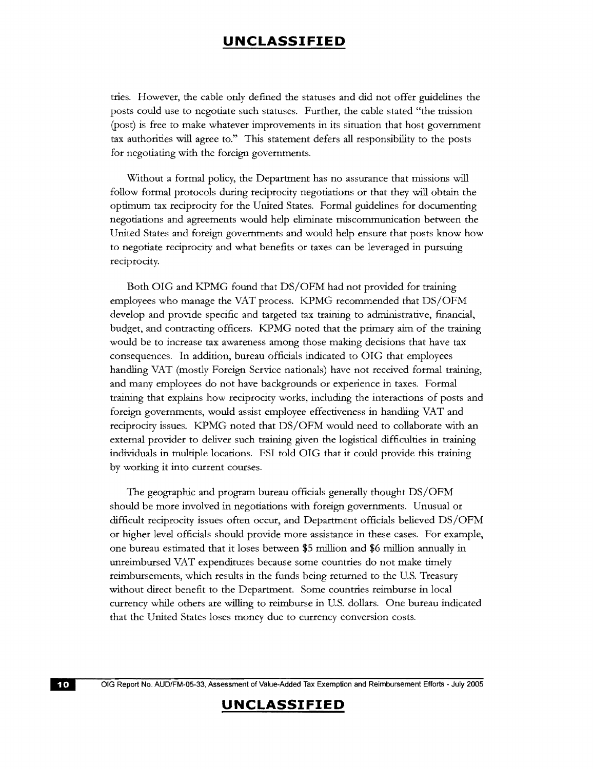tries. However, the cable only defined the statuses and did not offer guidelines the posts could use to negotiate such statuses. Further, the cable stated "the mission (post) is free to make whatever improvements in its situation that host government tax authorities will agree to." This statement defers all responsibility to the posts for negotiating with the foreign governments.

Without a formal policy, the Department has no assurance that missions will follow formal protocols during reciprocity negotiations or that they will obtain the optimum tax reciprocity for the United States. Formal guidelines for documenting negotiations and agreements would help eliminate miscommunication between the United States and foreign governments and would help ensure that posts know how to negotiate reciprocity and what benefits or taxes can be leveraged in pursuing reciprocity.

Both OIG and KPMG found that DS/OFM had not provided for training employees who manage the VAT process. KPMG recommended that DS/OFM develop and provide specific and targeted tax training to administrative, financial, budget, and contracting officers. KPMG noted that the primary aim of the training would be to increase tax awareness among those making decisions that have tax consequences. In addition, bureau officials indicated to OIG that employees handling VAT (mostly Foreign Service nationals) have not received formal training, and many employees do not have backgrounds or experience in taxes. Formal training that explains how reciprocity works, including the interactions of posts and foreign governments, would assist employee effectiveness in handling VAT and reciprocity issues. KPMG noted that DS/OFM would need to collaborate with an external provider to deliver such training given the logistical difficulties in training individuals in multiple locations. FSI told OIG that it could provide this training by working it into current courses.

The geographic and program bureau officials generally thought DS/OFM should be more involved in negotiations with foreign governments. Unusual or difficult reciprocity issues often occur, and Department officials believed DS/OFM or higher level officials should provide more assistance in these cases. For example, one bureau estimated that it loses between \$5 million and \$6 million annually in unreimbursed VAT expenditures because some countries do not make timely reimbursements, which results in the funds being returned to the U.S. Treasury without direct benefit to the Department. Some countries reimburse in local currency while others are willing to reimburse in U.S. dollars. One bureau indicated that the United States loses money due to currency conversion costs.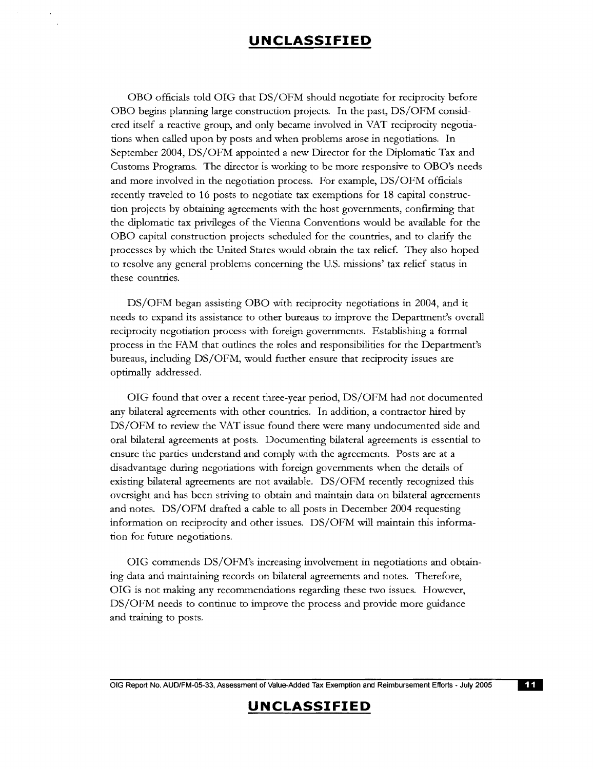OBO officials told OIG that DS/OFM should negotiate for reciprocity before OBO begins planning large construction projects. In the past, DS/OFM considered itself a reactive group, and only became involved in VAT reciprocity negotiations when called upon by posts and when problems arose in negotiations. In September 2004, DS/OFM appointed a new Director for the Diplomatic Tax and Customs Programs. The director is working to be more responsive to OBO's needs and more involved in the negotiation process. For example, DS/OFM officials recently traveled to 16 posts to negotiate tax exemptions for 18 capital construction projects by obtaining agreements with the host governments, confirming that the diplomatic tax privileges of the Vienna Conventions would be available for the OBO capital construction projects scheduled for the countries, and to clarify the processes by which the United States would obtain the tax relief. They also hoped to resolve any general problems concerning the U.S. missions' tax relief status in these countries.

DS/OFM began assisting OBO with reciprocity negotiations in 2004, and it needs to expand its assistance to other bureaus to improve the Department's overall reciprocity negotiation process with foreign governments. Establishing a formal process in the FAM that outlines the roles and responsibilities for the Department's bureaus, including DS/OFM, would further ensure that reciprocity issues are optimally addressed.

OIG found that over a recent three-year period, DS/OFM had not documented any bilateral agreements with other countries. In addition, a contractor hired by DS/OFM to review the VAT issue found there were many undocumented side and oral bilateral agreements at posts. Documenting bilateral agreements is essential to ensure the parties understand and comply with the agreements. Posts are at a disadvantage during negotiations with foreign governments when the details of existing bilateral agreements are not available. DS/OFM recently recognized this oversight and has been striving to obtain and maintain data on bilateral agreements and notes. DS/OFM drafted a cable to all posts in December 2004 requesting information on reciprocity and other issues. DS/OFM will maintain this information for future negotiations.

OIG commends DSjOFM's increasing involvement in negotiations and obtaining data and maintaining records on bilateral agreements and notes. Therefore, OIG is not making any recommendations regarding these two issues. However, DS/OFM needs to continue to improve the process and provide more guidance and training to posts.

OIG Report No. AUD/FM-05-33. Assessment of Value-Added Tax Exemption and Reimbursement Efforts - July 2005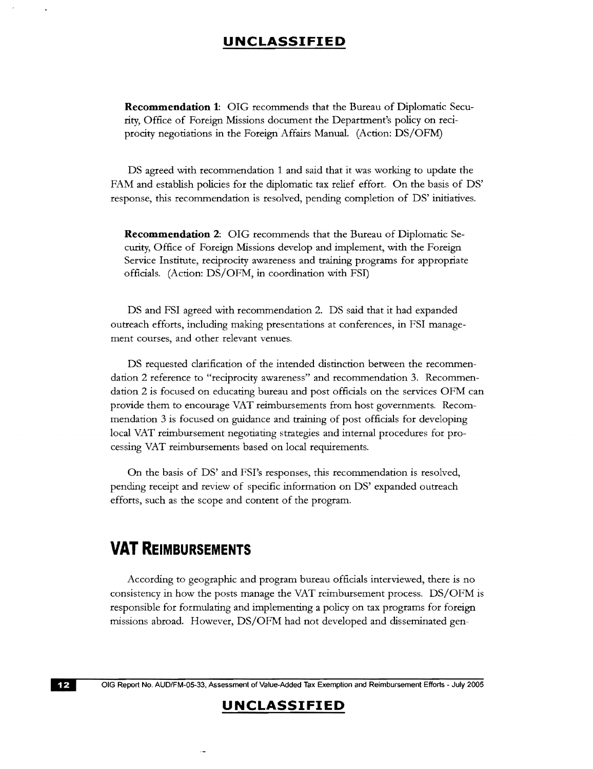**Recommendation** 1: OIG recommends that the Bureau of Diplomatic Security, Office of Foreign Missions document the Department's policy on reciprocity negotiations in the Foreign Affairs Manual. (Action: DS/OFM)

DS agreed with recommendation 1 and said that it was working to update the FAM and establish policies for the diplomatic tax relief effort. On the basis of DS' response, this recommendation is resolved, pending completion of DS' initiatives.

**Recommendation** 2: OIG recommends that the Bureau of Diplomatic Security, Office of Foreign Missions develop and implement, with the Foreign Service Institute, reciprocity awareness and training programs for appropriate officials. (Action: DS/OFM, in coordination with FSI)

DS and FSI agreed with recommendation 2. DS said that it had expanded outreach efforts, including making presentations at conferences, in FSI management courses, and other relevant venues.

DS requested clarification of the intended distinction between the recommendation 2 reference to "reciprocity awareness" and recommendation 3. Recommendation 2 is focused on educating bureau and post officials on the services OFM can provide them to encourage VAT reimbursements from host governments. Recommendation 3 is focused on guidance and training of post officials for developing local VAT reimbursement negotiating strategies and internal procedures for processing VAT reimbursements based on local requirements.

On the basis of DS' and FSI's responses, this recommendation is resolved, pending receipt and review of specific information on DS' expanded outreach efforts, such as the scope and content of the program.

## **VAT REIMBURSEMENTS**

According to geographic and program bureau officials interviewed, there is no consistency in how the posts manage the VAT reimbursement process. DS/OFM is responsible for formulating and implementing a policy on tax programs for foreign missions abroad. However, DS/OFM had not developed and disseminated gen-

OIG Report No. AUD/FM-05-33, Assessment of Value-Added Tax Exemption and Reimbursement Efforts - July 2005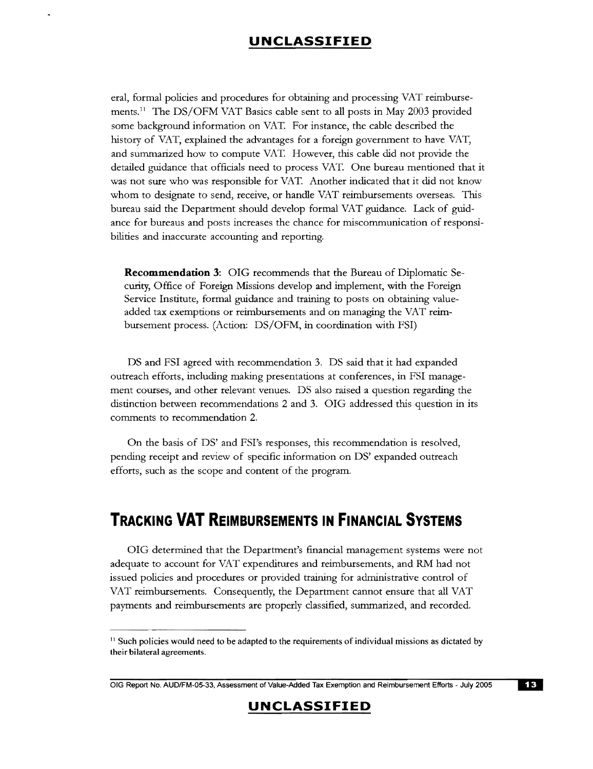eral, formal policies and procedures for obtaining and processing VAT reimbursements.<sup>11</sup> The DS/OFM VAT Basics cable sent to all posts in May 2003 provided some background information on VAT. For instance, the cable described the history of VAT, explained the advantages for a foreign government to have VAT, and summarized how to compute VAT. However, this cable did not provide the detailed guidance that officials need to process VAT. One bureau mentioned that it was not sure who was responsible for VAT. Another indicated that it did not know whom to designate to send, receive, or handle VAT reimbursements overseas. This bureau said the Department should develop formal VAT guidance. Lack of guidance for bureaus and posts increases the chance for miscommunication of responsibilities and inaccurate accounting and reporting.

**Recommendation** 3: OIG recommends that the Bureau of Diplomatic Security, Office of Foreign Missions develop and implement, with the Foreign Service Institute, formal guidance and training to posts on obtaining valueadded tax exemptions or reimbursements and on managing the VAT reimbursement process. (Action: DS/OFM, in coordination with FSI)

DS and FSI agreed with recommendation 3. DS said that it had expanded outreach efforts, including making presentations at conferences, in FSI management courses, and other relevant venues. DS also raised a question regarding the distinction between recommendations 2 and 3. OIG addressed this question in its comments to recommendation 2.

On the basis of DS' and FSI's responses, this recommendation is resolved, pending receipt and review of specific information on DS' expanded outreach efforts, such as the scope and content of the program.

## **TRACKING VAT REIMBURSEMENTS IN FINANCIAL SYSTEMS**

OIG determined that the Department's financial management systems were not adequate to account for VAT expenditures and reimbursements, and RM had not issued policies and procedures or provided training for administrative control of VAT reimbursements. Consequently, the Department cannot ensure that all VAT payments and reimbursements are properly classified, summarized, and recorded.

 $<sup>11</sup>$  Such policies would need to be adapted to the requirements of individual missions as dictated by</sup> their bilateral agreements.

OIG Report No. AUD/FM-05-33, Assessment of Value-Added Tax Exemption and Reimbursement Efforts - July 2005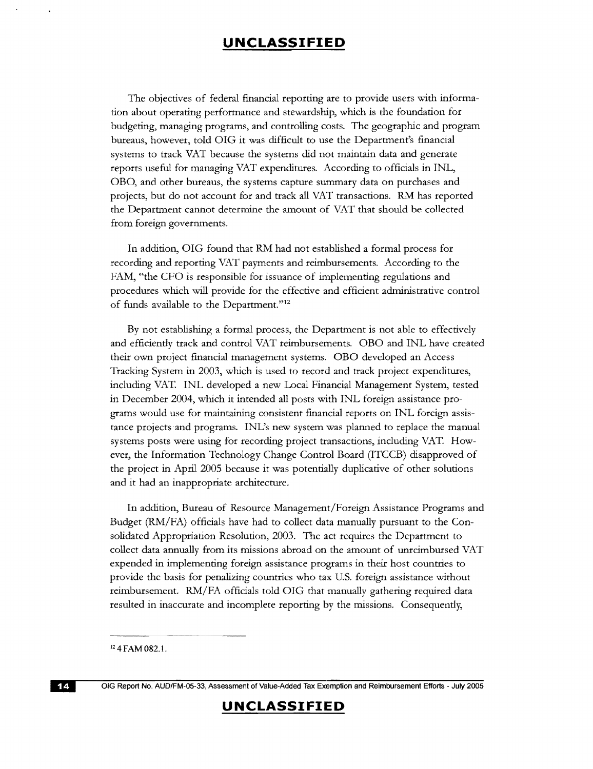The objectives of federal financial reporting are to provide users with information about operating performance and stewardship, which is the foundation for budgeting, managing programs, and controlling costs. The geographic and program bureaus, however, told OIG it was difficult to use the Department's financial systems to track VAT because the systems did not maintain data and generate reports useful for managing VAT expenditures. According to officials in INL, OBO, and other bureaus, the systems capture summary data on purchases and projects, but do not account for and track all VAT transactions. RM has reported the Department cannot determine the amount of VAT that should be collected from foreign governments.

In addition, OIG found that RM had not established a formal process for recording and reporting VAT payments and reimbursements. According to the FAM, "the CFO is responsible for issuance of implementing regulations and procedures which will provide for the effective and efficient administrative control of funds available to the Department."12

By not establishing a formal process, the Department is not able to effectively and efficiently track and control VAT reimbursements. OBO and INL have created their own project financial management systems. OBO developed an Access Tracking System in 2003, which is used to record and track project expenditures, including VAT. INL developed a new Local Financial Management System, tested in December 2004, which it intended all posts with INL foreign assistance programs would use for maintaining consistent financial reports on INL foreign assistance projects and programs. INL's new system was planned to replace the manual systems posts were using for recording project transactions, including VAT. However, the Information Technology Change Control Board (ITCCB) disapproved of the project in April 2005 because it was potentially duplicative of other solutions and it had an inappropriate architecture.

In addition, Bureau of Resource Management/Foreign Assistance Programs and Budget (RM/FA) officials have had to collect data manually pursuant to the Consolidated Appropriation Resolution, 2003. The act requires the Department to collect data annually from its missions abroad on the amount of unreimbursed VAT expended in implementing foreign assistance programs in their host countries to provide the basis for penalizing countries who tax U.S. foreign assistance without reimbursement. RM/FA officials told OIG that manually gathering required data resulted in inaccurate and incomplete reporting by the missions. Consequently,

OIG Report No, AUDfFM-05-33, Assessment of Value-Added Tax Exemption and Reimbursement Efforts - July 2005

<sup>124</sup>FAM082.1.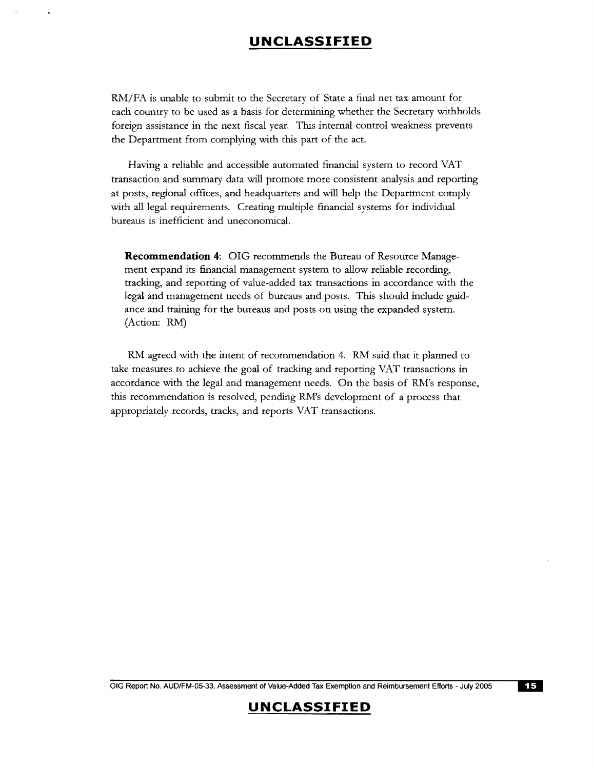RM/FA is unable to submit to the Secretary of State a final net tax amount for each country to be used as a basis for determining whether the Secretary withholds foreign assistance in the next fiscal year. This internal control weakness prevents the Department from complying with this part of the act.

Having a reliable and accessible automated financial system to record VAT transaction and summary data will promote more consistent analysis and reporting at posts, regional offices, and headquarters and will help the Department comply with all legal requirements. Creating multiple financial systems for individual bureaus is inefficient and uneconomical.

**Recommendation** 4: OIG recommends the Bureau of Resource Management expand its financial management system to allow reliable recording, tracking, and reporting of value-added tax transactions in accordance with the legal and management needs of bureaus and posts. This should include guidance and training for the bureaus and posts on using the expanded system.  $(Action: RM)$ 

RM agreed with the intent of recommendation 4. RM said that it planned to take measures to achieve the goal of tracking and reporting VAT transactions in accordance with the legal and management needs. On the basis of RM's response, this recommendation is resolved, pending RM's development of a process that appropriately records, tracks, and reports VAT transactions.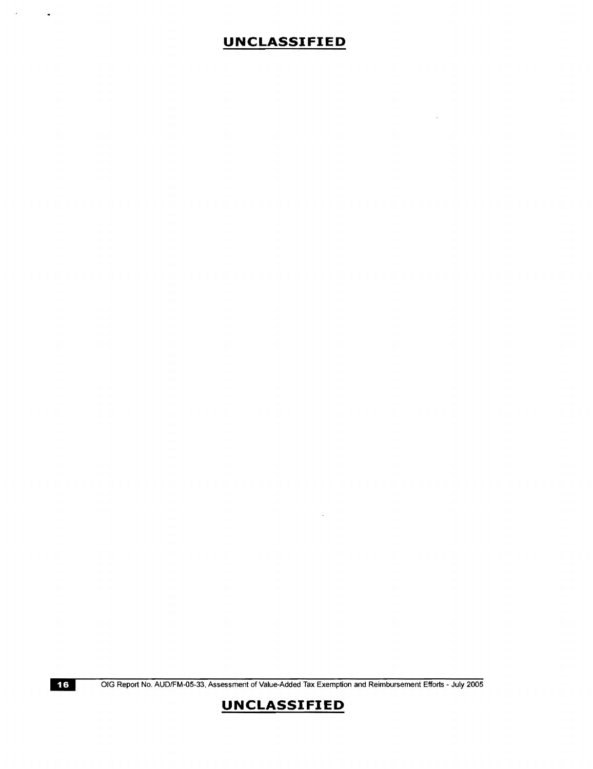$\mathcal{A}^{\text{max}}_{\text{max}}$  and  $\mathcal{A}^{\text{max}}_{\text{max}}$ 

**ICIDES Report No. AUD/FM-05-33, Assessment of Value-Added Tax Exemption and Reimbursement Efforts - July 2005** 

 $\sim$ 

## **UNCLASSIFIED**

 $\mathcal{A}^{\text{max}}_{\text{max}}$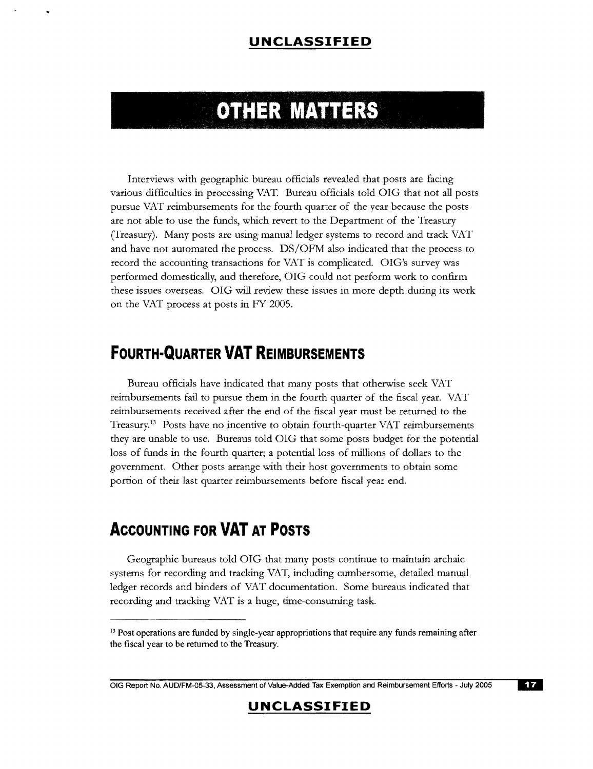# **OTHER MATTERS**

Interviews with geographic bureau officials revealed that posts are facing various difficulties in processing VAT. Bureau officials told OIG that not all posts pursue VAT reimbursements for the fourth quarter of the year because the posts are not able to use the funds, which revert to the Department of the Treasury (Treasury). Many posts are using manual ledger systems to record and track VAT and have not automated the process. DS/OFM also indicated that the process to record the accounting transactions for VAT is complicated. OIG's survey was performed domestically, and therefore, OIG could not perform work to confirm these issues overseas. OIG will review these issues in more depth during its work on the VAT process at posts in FY 2005.

## FOURTH-QUARTER VAT **REIMBURSEMENTS**

Bureau officials have indicated that many posts that otherwise seek VAT reimbursements fail to pursue them in the fourth quarter of the fiscal year. VAT reimbursements received after the end of the fiscal year must be returned to the Treasury.<sup>13</sup> Posts have no incentive to obtain fourth-quarter VAT reimbursements they are unable to use. Bureaus told OIG that some posts budget for the potential loss of funds in the fourth quarter; a potential loss of millions of dollars to the government. Other posts arrange with their host governments to obtain some portion of their last quarter reimbursements before fiscal year end.

## **ACCOUNTING FOR VAT AT POSTS**

Geographic bureaus told OIG that many posts continue to maintain archaic systems for recording and tracking VAT, including cumbersome, detailed manual ledger records and binders of VAT documentation. Some bureaus indicated that recording and tracking VAT is a huge, time-consuming task.

<sup>&</sup>lt;sup>13</sup> Post operations are funded by single-year appropriations that require any funds remaining after the fiscal year to be returned to the Treasury.

OIG Report No. AUD/FM-05-33, Assessment of Value-Added Tax Exemption and Reimbursement Efforts - July *2005*